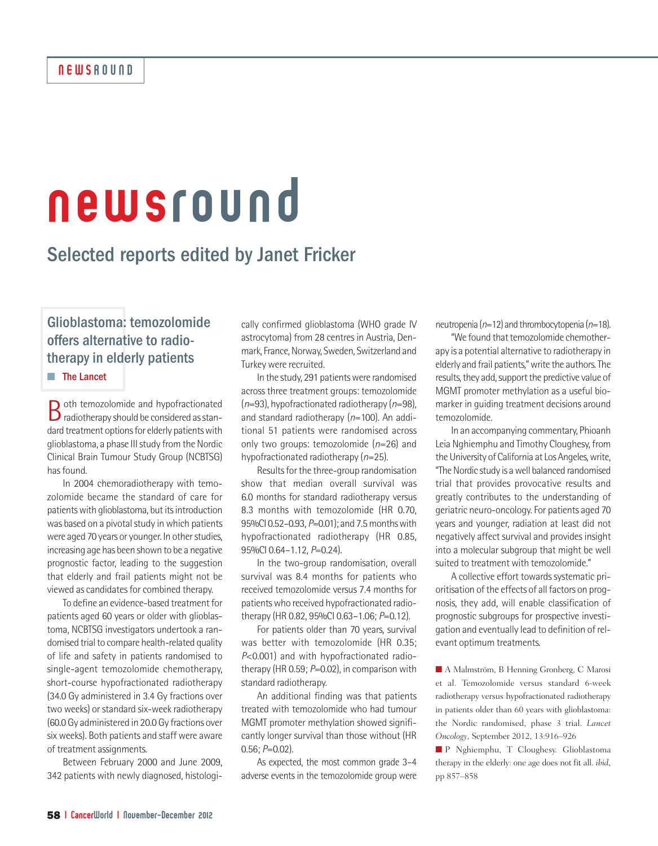# newsround

# Selected reports edited by Janet Fricker

Glioblastoma: temozolomide offers alternative to radiotherapy in elderly patients

**■** The Lancet

Both temozolomide and hypofractionated<br>radiotherapy should be considered as standard treatment options for elderly patients with glioblastoma, a phase III study from the Nordic Clinical Brain Tumour Study Group (NCBTSG) has found.

In 2004 chemoradiotherapy with temozolomide became the standard of care for patients with glioblastoma, but its introduction was based on a pivotal study in which patients were aged 70 years or younger. In other studies, increasing age has been shown to be a negative prognostic factor, leading to the suggestion that elderly and frail patients might not be viewed as candidates for combined therapy.

To define an evidence-based treatment for patients aged 60 years or older with glioblastoma, NCBTSG investigators undertook a randomised trial to compare health-related quality of life and safety in patients randomised to single-agent temozolomide chemotherapy, short-course hypofractionated radiotherapy (34.0 Gy administered in 3.4 Gy fractions over two weeks) or standard six-week radiotherapy (60.0Gy administered in 20.0Gy fractions over six weeks). Both patients and staff were aware of treatment assignments.

Between February 2000 and June 2009, 342 patients with newly diagnosed, histologi-

cally confirmed glioblastoma (WHO grade IV astrocytoma) from 28 centres in Austria, Denmark, France, Norway, Sweden, Switzerland and Turkey were recruited.

In the study, 291 patients were randomised across three treatment groups: temozolomide (*n*=93), hypofractionated radiotherapy (*n*=98), and standard radiotherapy (*n*=100). An additional 51 patients were randomised across only two groups: temozolomide (*n*=26) and hypofractionated radiotherapy (*n*=25).

Results for the three-group randomisation show that median overall survival was 6.0 months for standard radiotherapy versus 8.3 months with temozolomide (HR 0.70, 95%CI 0.52–0.93, *P*=0.01); and 7.5monthswith hypofractionated radiotherapy (HR 0.85, 95%CI 0.64–1.12, *P*=0.24).

In the two-group randomisation, overall survival was 8.4 months for patients who received temozolomide versus 7.4 months for patients who received hypofractionated radiotherapy (HR 0.82, 95%CI 0.63–1.06; *P*=0.12).

For patients older than 70 years, survival was better with temozolomide (HR 0.35; *P*<0.001) and with hypofractionated radiotherapy (HR 0.59; *P*=0.02), in comparison with standard radiotherapy.

An additional finding was that patients treated with temozolomide who had tumour MGMT promoter methylation showed significantly longer survival than those without (HR 0.56; *P*=0.02).

As expected, the most common grade 3–4 adverse events in the temozolomide group were

neutropenia (*n*=12) and thrombocytopenia (*n*=18).

"We found that temozolomide chemotherapy is a potential alternative to radiotherapy in elderly and frail patients,"write the authors.The results, they add, support the predictive value of MGMT promoter methylation as a useful biomarker in guiding treatment decisions around temozolomide.

In an accompanying commentary, Phioanh Leia Nghiemphu and Timothy Cloughesy, from the University of California at Los Angeles, write, "The Nordic study is a well balanced randomised trial that provides provocative results and greatly contributes to the understanding of geriatric neuro-oncology.For patients aged 70 years and younger, radiation at least did not negatively affect survival and provides insight into a molecular subgroup that might be well suited to treatment with temozolomide."

A collective effort towards systematic prioritisation of the effects of all factors on prognosis, they add, will enable classification of prognostic subgroups for prospective investigation and eventually lead to definition of relevant optimum treatments.

■ A Malmström, B Henning Gronberg, C Marosi et al. Temozolomide versus standard 6-week radiotherapy versus hypofractionated radiotherapy in patients older than 60 years with glioblastoma: the Nordic randomised, phase 3 trial. *Lancet Oncology*, September 2012, 13:916–926

**■** P Nghiemphu, T Cloughesy. Glioblastoma therapy in the elderly: one age does not fit all. *ibid*, pp 857–858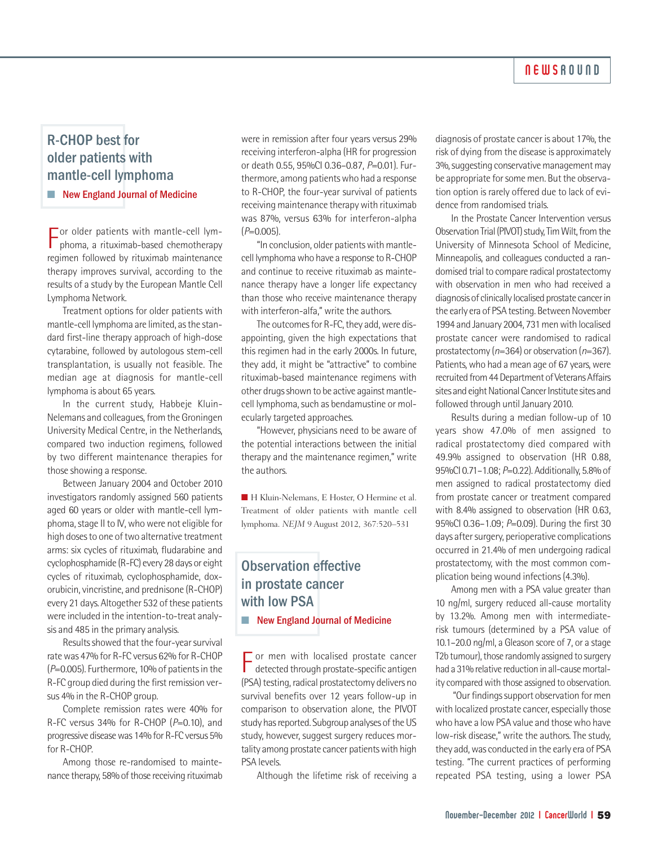#### **NEWSROUND**

## R-CHOP best for older patients with mantle-cell lymphoma

■ New England Journal of Medicine

For older patients with mantle-cell lym-<br>phoma, a rituximab-based chemotherapy phoma, a rituximab-based chemotherapy regimen followed by rituximab maintenance therapy improves survival, according to the results of a study by the European Mantle Cell Lymphoma Network.

Treatment options for older patients with mantle-cell lymphoma are limited, as the standard first-line therapy approach of high-dose cytarabine, followed by autologous stem-cell transplantation, is usually not feasible. The median age at diagnosis for mantle-cell lymphoma is about 65 years.

In the current study, Habbeje Kluin-Nelemans and colleagues, from the Groningen University Medical Centre, in the Netherlands, compared two induction regimens, followed by two different maintenance therapies for those showing a response.

Between January 2004 and October 2010 investigators randomly assigned 560 patients aged 60 years or older with mantle-cell lymphoma, stage II to IV, who were not eligible for high doses to one of two alternative treatment arms: six cycles of rituximab, fludarabine and cyclophosphamide (R-FC) every 28 days or eight cycles of rituximab, cyclophosphamide, doxorubicin, vincristine, and prednisone (R-CHOP) every 21 days. Altogether 532 of these patients were included in the intention-to-treat analysis and 485 in the primary analysis.

Results showed that the four-year survival rate was 47% for R-FC versus 62% for R-CHOP (*P*=0.005).Furthermore, 10%of patientsin the R-FC group died during the first remission versus 4% in the R-CHOP group.

Complete remission rates were 40% for R-FC versus 34% for R-CHOP (*P*=0.10), and progressive disease was 14% for R-FC versus 5% for R-CHOP.

Among those re-randomised to maintenance therapy, 58% of those receiving rituximab were in remission after four years versus 29% receiving interferon-alpha (HR for progression or death 0.55, 95%CI 0.36–0.87, *P*=0.01). Furthermore, among patients who had a response to R-CHOP, the four-year survival of patients receiving maintenance therapy with rituximab was 87%, versus 63% for interferon-alpha (*P*=0.005).

"In conclusion, older patients with mantlecell lymphomawho have a response to R-CHOP and continue to receive rituximab as maintenance therapy have a longer life expectancy than those who receive maintenance therapy with interferon-alfa," write the authors.

The outcomes for R-FC, they add, were disappointing, given the high expectations that this regimen had in the early 2000s. In future, they add, it might be "attractive" to combine rituximab-based maintenance regimens with other drugs shown to be active against mantlecell lymphoma, such as bendamustine or molecularly targeted approaches.

"However, physicians need to be aware of the potential interactions between the initial therapy and the maintenance regimen," write the authors.

■ H Kluin-Nelemans, E Hoster, O Hermine et al. Treatment of older patients with mantle cell lymphoma. *NEJM* 9 August 2012, 367:520–531

# Observation effective in prostate cancer with low PSA

■ New England Journal of Medicine

 $\Gamma$  or men with localised prostate cancer<br>detected through prostate-specific antigen detected through prostate-specific antigen (PSA) testing, radical prostatectomy delivers no survival benefits over 12 years follow-up in comparison to observation alone, the PIVOT study has reported. Subgroup analyses of the US study, however, suggest surgery reduces mortality among prostate cancer patients with high PSA levels.

Although the lifetime risk of receiving a

diagnosis of prostate cancer is about 17%, the risk of dying from the disease is approximately 3%, suggesting conservative management may be appropriate for some men. But the observation option is rarely offered due to lack of evidence from randomised trials.

In the Prostate Cancer Intervention versus Observation Trial (PIVOT) study, Tim Wilt, from the University of Minnesota School of Medicine, Minneapolis, and colleagues conducted a randomised trial to compare radical prostatectomy with observation in men who had received a diagnosis of clinically localised prostate cancerin the early era of PSA testing. Between November 1994 and January 2004, 731 men with localised prostate cancer were randomised to radical prostatectomy (*n*=364) or observation (*n*=367). Patients, who had a mean age of 67 years, were recruited from 44 Department of Veterans Affairs sites and eight National Cancer Institute sites and followed through until January 2010.

Results during a median follow-up of 10 years show 47.0% of men assigned to radical prostatectomy died compared with 49.9% assigned to observation (HR 0.88, 95%CI 0.71–1.08; *P*=0.22). Additionally, 5.8%of men assigned to radical prostatectomy died from prostate cancer or treatment compared with 8.4% assigned to observation (HR 0.63, 95%CI 0.36–1.09; *P*=0.09). During the first 30 days after surgery, perioperative complications occurred in 21.4% of men undergoing radical prostatectomy, with the most common complication being wound infections(4.3%).

Among men with a PSA value greater than 10 ng/ml, surgery reduced all-cause mortality by 13.2%. Among men with intermediaterisk tumours (determined by a PSA value of 10.1–20.0 ng/ml, a Gleason score of 7, or a stage T2b tumour), those randomly assigned to surgery had a 31% relative reduction in all-cause mortality compared with those assigned to observation.

"Our findings support observation for men with localized prostate cancer, especially those who have a low PSA value and those who have low-risk disease," write the authors. The study, they add, was conducted in the early era of PSA testing. "The current practices of performing repeated PSA testing, using a lower PSA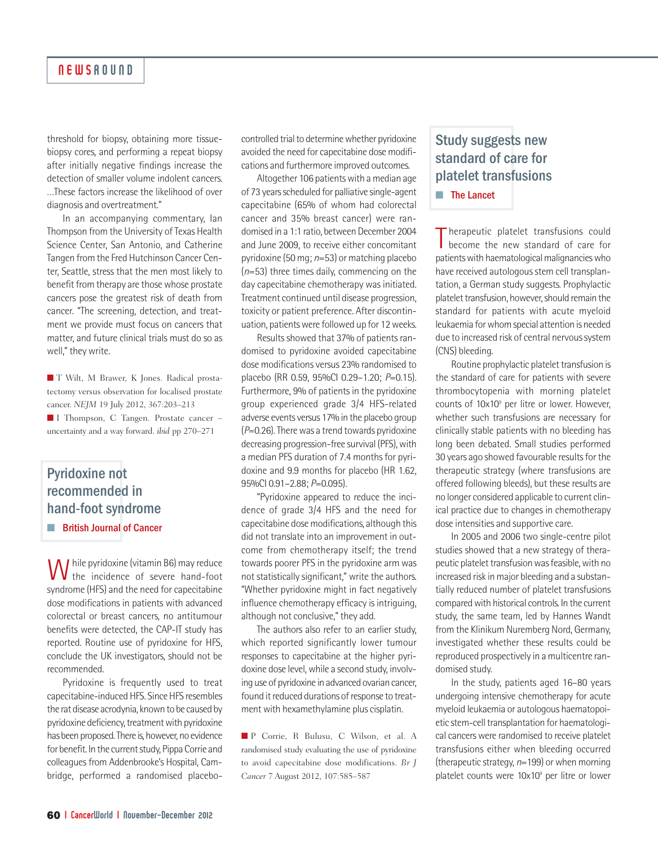#### **NEWSROUND**

threshold for biopsy, obtaining more tissuebiopsy cores, and performing a repeat biopsy after initially negative findings increase the detection of smaller volume indolent cancers. …These factors increase the likelihood of over diagnosis and overtreatment."

In an accompanying commentary, Ian Thompson from the University of Texas Health Science Center, San Antonio, and Catherine Tangen from the Fred Hutchinson Cancer Center, Seattle, stress that the men most likely to benefit from therapy are those whose prostate cancers pose the greatest risk of death from cancer. "The screening, detection, and treatment we provide must focus on cancers that matter, and future clinical trials must do so as well," they write.

**■** T Wilt, M Brawer, K Jones. Radical prostatectomy versus observation for localised prostate cancer. *NEJM* 19 July 2012, 367:203–213 ■ I Thompson, C Tangen. Prostate cancer –

uncertainty and a way forward. *ibid* pp 270–271

### Pyridoxine not recommended in hand-foot syndrome ■ British Journal of Cancer

While pyridoxine (vitamin B6) may reduce **V** the incidence of severe hand-foot syndrome (HFS) and the need for capecitabine dose modifications in patients with advanced colorectal or breast cancers, no antitumour benefits were detected, the CAP-IT study has reported. Routine use of pyridoxine for HFS, conclude the UK investigators, should not be recommended.

Pyridoxine is frequently used to treat capecitabine-induced HFS. Since HFS resembles the rat disease acrodynia, known to be caused by pyridoxine deficiency, treatment with pyridoxine has been proposed. There is, however, no evidence for benefit. In the current study, Pippa Corrie and colleagues from Addenbrooke's Hospital, Cambridge, performed a randomised placebocontrolled trial to determine whether pyridoxine avoided the need for capecitabine dose modifications and furthermore improved outcomes.

Altogether 106 patients with a median age of 73 years scheduled for palliative single-agent capecitabine (65% of whom had colorectal cancer and 35% breast cancer) were randomised in a 1:1 ratio, between December 2004 and June 2009, to receive either concomitant pyridoxine (50 mg; *n*=53) or matching placebo (*n*=53) three times daily, commencing on the day capecitabine chemotherapy was initiated. Treatment continued until disease progression, toxicity or patient preference. After discontinuation, patients were followed up for 12 weeks.

Results showed that 37% of patients randomised to pyridoxine avoided capecitabine dose modifications versus 23% randomised to placebo (RR 0.59, 95%CI 0.29–1.20; *P*=0.15). Furthermore, 9% of patients in the pyridoxine group experienced grade 3/4 HFS-related adverse events versus 17% in the placebo group (*P*=0.26).Therewas a trend towards pyridoxine decreasing progression-free survival (PFS), with a median PFS duration of 7.4 months for pyridoxine and 9.9 months for placebo (HR 1.62, 95%CI 0.91–2.88; *P*=0.095).

"Pyridoxine appeared to reduce the incidence of grade 3/4 HFS and the need for capecitabine dose modifications, although this did not translate into an improvement in outcome from chemotherapy itself; the trend towards poorer PFS in the pyridoxine arm was not statistically significant," write the authors. "Whether pyridoxine might in fact negatively influence chemotherapy efficacy is intriguing, although not conclusive," they add.

The authors also refer to an earlier study, which reported significantly lower tumour responses to capecitabine at the higher pyridoxine dose level, while a second study, involving use of pyridoxine in advanced ovarian cancer, found it reduced durations of response to treatment with hexamethylamine plus cisplatin.

**■** P Corrie, R Bulusu, C Wilson, et al. A randomised study evaluating the use of pyridoxine to avoid capecitabine dose modifications. *Br J Cancer* 7 August 2012, 107:585–587

## Study suggests new standard of care for platelet transfusions

**■** The Lancet

T herapeutic platelet transfusions could become the new standard of care for patients with haematological malignancies who have received autologous stem cell transplantation, a German study suggests. Prophylactic platelet transfusion, however, should remain the standard for patients with acute myeloid leukaemia forwhomspecial attention is needed due to increased risk of central nervous system (CNS) bleeding.

Routine prophylactic platelet transfusion is the standard of care for patients with severe thrombocytopenia with morning platelet counts of 10x10<sup>9</sup> per litre or lower. However, whether such transfusions are necessary for clinically stable patients with no bleeding has long been debated. Small studies performed 30 years ago showed favourable results for the therapeutic strategy (where transfusions are offered following bleeds), but these results are no longer considered applicable to current clinical practice due to changes in chemotherapy dose intensities and supportive care.

In 2005 and 2006 two single-centre pilot studies showed that a new strategy of therapeutic platelet transfusion was feasible, with no increased risk in major bleeding and a substantially reduced number of platelet transfusions compared with historical controls. In the current study, the same team, led by Hannes Wandt from the Klinikum Nuremberg Nord, Germany, investigated whether these results could be reproduced prospectively in a multicentre randomised study.

In the study, patients aged 16–80 years undergoing intensive chemotherapy for acute myeloid leukaemia or autologous haematopoietic stem-cell transplantation for haematological cancers were randomised to receive platelet transfusions either when bleeding occurred (therapeutic strategy, n=199) or when morning platelet counts were 10x109 per litre or lower